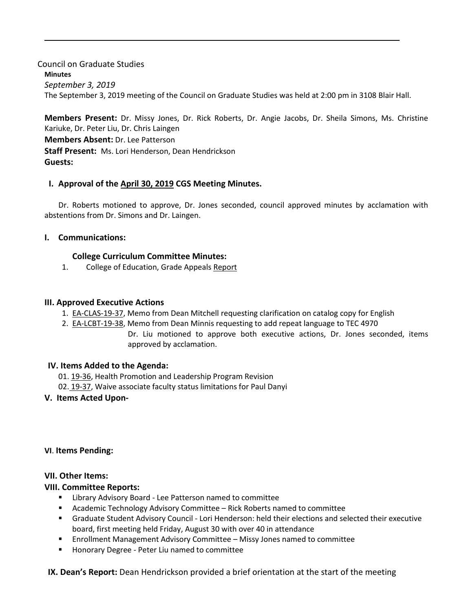Council on Graduate Studies **Minutes** *September 3, 2019* The September 3, 2019 meeting of the Council on Graduate Studies was held at 2:00 pm in 3108 Blair Hall.

**Members Present:** Dr. Missy Jones, Dr. Rick Roberts, Dr. Angie Jacobs, Dr. Sheila Simons, Ms. Christine Kariuke, Dr. Peter Liu, Dr. Chris Laingen **Members Absent:** Dr. Lee Patterson **Staff Present:** Ms. Lori Henderson, Dean Hendrickson **Guests:**

## **I. Approval of the [April 30,](http://castle.eiu.edu/eiucgs/currentminutes/Minutes4-30-19.pdf) 2019 CGS Meetin[g Minutes.](http://castle.eiu.edu/eiucgs/currentminutes/Minutes02-16-16.pdf)**

Dr. Roberts motioned to approve, Dr. Jones seconded, council approved minutes by acclamation with abstentions from Dr. Simons and Dr. Laingen.

## **I. Communications:**

# **College Curriculum Committee Minutes:**

1. College of Education, Grade Appeals [Report](http://castle.eiu.edu/eiucgs/documents/COE-Grade-Appeals-Report-SP19.pdf)

# **III. Approved Executive Actions**

- 1. [EA-CLAS-19-37,](http://castle.eiu.edu/eiucgs/exec-actions/EA-CLAS-19-37.pdf) Memo from Dean Mitchell requesting clarification on catalog copy for English
- 2. [EA-LCBT-19-38,](http://castle.eiu.edu/eiucgs/exec-actions/EA-LCBT-19-38.pdf) Memo from Dean Minnis requesting to add repeat language to TEC 4970 Dr. Liu motioned to approve both executive actions, Dr. Jones seconded, items approved by acclamation.

# **IV. Items Added to the Agenda:**

01. [19-36,](http://castle.eiu.edu/eiucgs/currentagendaitems/agenda19-36.pdf) Health Promotion and Leadership Program Revision

02. [19-37,](http://castle.eiu.edu/eiucgs/currentagendaitems/agenda19-37.pdf) Waive associate faculty status limitations for Paul Danyi

## **V. Items Acted Upon-**

## **VI**. **Items Pending:**

## **VII. Other Items:**

## **VIII. Committee Reports:**

- **EXTER 1** Library Advisory Board Lee Patterson named to committee
- Academic Technology Advisory Committee Rick Roberts named to committee
- Graduate Student Advisory Council Lori Henderson: held their elections and selected their executive board, first meeting held Friday, August 30 with over 40 in attendance
- Enrollment Management Advisory Committee Missy Jones named to committee
- **Honorary Degree Peter Liu named to committee**

**IX. Dean's Report:** Dean Hendrickson provided a brief orientation at the start of the meeting